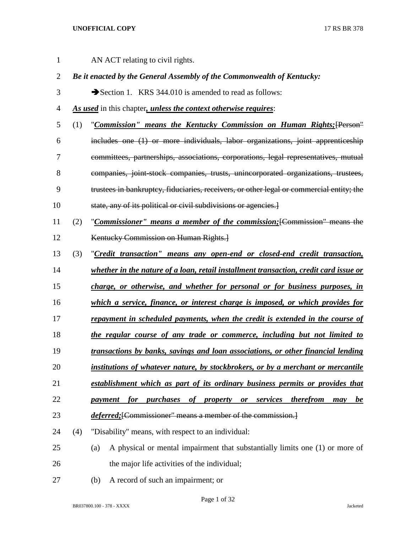| $\mathbf{1}$   |     | AN ACT relating to civil rights.                                                         |
|----------------|-----|------------------------------------------------------------------------------------------|
| $\overline{2}$ |     | Be it enacted by the General Assembly of the Commonwealth of Kentucky:                   |
| 3              |     | Section 1. KRS 344.010 is amended to read as follows:                                    |
| $\overline{4}$ |     | As used in this chapter, unless the context otherwise requires:                          |
| 5              | (1) | "Commission" means the Kentucky Commission on Human Rights; [Person"                     |
| 6              |     | includes one (1) or more individuals, labor organizations, joint apprenticeship          |
| 7              |     | committees, partnerships, associations, corporations, legal representatives, mutual      |
| 8              |     | companies, joint-stock companies, trusts, unincorporated organizations, trustees,        |
| 9              |     | trustees in bankruptcy, fiduciaries, receivers, or other legal or commercial entity; the |
| 10             |     | state, any of its political or civil subdivisions or agencies.                           |
| 11             | (2) | "Commissioner" means a member of the commission; [Commission" means the                  |
| 12             |     | Kentucky Commission on Human Rights.                                                     |
| 13             | (3) | "Credit transaction" means any open-end or closed-end credit transaction,                |
| 14             |     | whether in the nature of a loan, retail installment transaction, credit card issue or    |
| 15             |     | charge, or otherwise, and whether for personal or for business purposes, in              |
| 16             |     | which a service, finance, or interest charge is imposed, or which provides for           |
| 17             |     | repayment in scheduled payments, when the credit is extended in the course of            |
| 18             |     | the regular course of any trade or commerce, including but not limited to                |
| 19             |     | transactions by banks, savings and loan associations, or other financial lending         |
| 20             |     | institutions of whatever nature, by stockbrokers, or by a merchant or mercantile         |
| 21             |     | establishment which as part of its ordinary business permits or provides that            |
| 22             |     | payment for purchases of property or services therefrom<br><u>be</u><br>may              |
| 23             |     | <i>deferred</i> ; [Commissioner" means a member of the commission.]                      |
| 24             | (4) | "Disability" means, with respect to an individual:                                       |
| 25             |     | A physical or mental impairment that substantially limits one (1) or more of<br>(a)      |
| 26             |     | the major life activities of the individual;                                             |
| 27             |     | A record of such an impairment; or<br>(b)                                                |

Page 1 of 32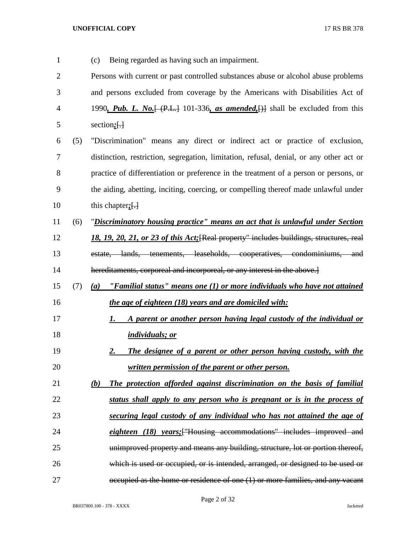| $\mathbf{1}$   |     | Being regarded as having such an impairment.<br>(c)                                     |
|----------------|-----|-----------------------------------------------------------------------------------------|
| $\overline{2}$ |     | Persons with current or past controlled substances abuse or alcohol abuse problems      |
| 3              |     | and persons excluded from coverage by the Americans with Disabilities Act of            |
| 4              |     | 1990, Pub. L. No. $[ (P.L.] 101-336, as amended.]$ shall be excluded from this          |
| 5              |     | section <sub>i</sub> $\left\{ \cdot \right\}$                                           |
| 6              | (5) | "Discrimination" means any direct or indirect act or practice of exclusion,             |
| $\overline{7}$ |     | distinction, restriction, segregation, limitation, refusal, denial, or any other act or |
| 8              |     | practice of differentiation or preference in the treatment of a person or persons, or   |
| 9              |     | the aiding, abetting, inciting, coercing, or compelling thereof made unlawful under     |
| 10             |     | this chapter; $\left\{ \cdot \right\}$                                                  |
| 11             | (6) | "Discriminatory housing practice" means an act that is unlawful under Section           |
| 12             |     | 18, 19, 20, 21, or 23 of this Act; [Real property" includes buildings, structures, real |
| 13             |     | estate, lands, tenements, leaseholds, cooperatives, condominiums, and                   |
| 14             |     | hereditaments, corporeal and incorporeal, or any interest in the above.]                |
| 15             | (7) | "Familial status" means one $(1)$ or more individuals who have not attained<br>(a)      |
| 16             |     | the age of eighteen (18) years and are domiciled with:                                  |
| 17             |     | A parent or another person having legal custody of the individual or<br><u>1. </u>      |
| 18             |     | <i>individuals; or</i>                                                                  |
| 19             |     | The designee of a parent or other person having custody, with the<br>2.                 |
| 20             |     | written permission of the parent or other person.                                       |
| 21             |     | (b)<br>The protection afforded against discrimination on the basis of familial          |
| 22             |     | status shall apply to any person who is pregnant or is in the process of                |
| 23             |     | securing legal custody of any individual who has not attained the age of                |
| 24             |     | eighteen (18) years; ["Housing accommodations" includes improved and                    |
| 25             |     | unimproved property and means any building, structure, lot or portion thereof,          |
| 26             |     | which is used or occupied, or is intended, arranged, or designed to be used or          |
| 27             |     | occupied as the home or residence of one (1) or more families, and any vacant           |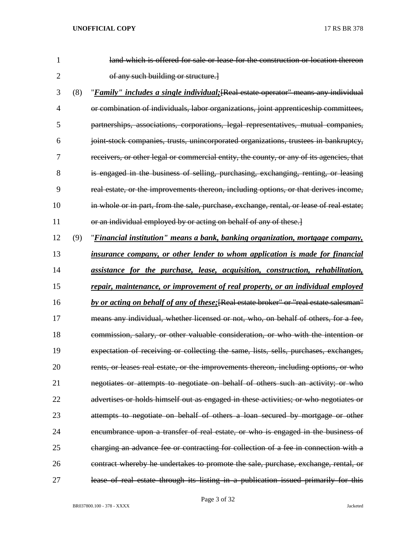| 1              |     | land which is offered for sale or lease for the construction or location thereon         |
|----------------|-----|------------------------------------------------------------------------------------------|
| $\overline{2}$ |     | of any such building or structure.]                                                      |
| 3              | (8) | "Family" includes a single individual; [Real estate operator" means any individual       |
| 4              |     | or combination of individuals, labor organizations, joint apprenticeship committees,     |
| 5              |     | partnerships, associations, corporations, legal representatives, mutual companies,       |
| 6              |     | joint stock companies, trusts, unincorporated organizations, trustees in bankruptcy,     |
| 7              |     | receivers, or other legal or commercial entity, the county, or any of its agencies, that |
| 8              |     | is engaged in the business of selling, purchasing, exchanging, renting, or leasing       |
| 9              |     | real estate, or the improvements thereon, including options, or that derives income,     |
| 10             |     | in whole or in part, from the sale, purchase, exchange, rental, or lease of real estate; |
| 11             |     | or an individual employed by or acting on behalf of any of these.]                       |
| 12             | (9) | "Financial institution" means a bank, banking organization, mortgage company,            |
| 13             |     | insurance company, or other lender to whom application is made for financial             |
| 14             |     | assistance for the purchase, lease, acquisition, construction, rehabilitation,           |
| 15             |     | repair, maintenance, or improvement of real property, or an individual employed          |
| 16             |     | by or acting on behalf of any of these; [Real estate broker" or "real estate salesman"   |
| 17             |     | means any individual, whether licensed or not, who, on behalf of others, for a fee,      |
| 18             |     | commission, salary, or other valuable consideration, or who with the intention or        |
| 19             |     | expectation of receiving or collecting the same, lists, sells, purchases, exchanges,     |
| 20             |     | rents, or leases real estate, or the improvements thereon, including options, or who     |
| 21             |     | negotiates or attempts to negotiate on behalf of others such an activity; or who         |
| 22             |     | advertises or holds himself out as engaged in these activities; or who negotiates or     |
| 23             |     | attempts to negotiate on behalf of others a loan secured by mortgage or other            |
| 24             |     | encumbrance upon a transfer of real estate, or who is engaged in the business of         |
| 25             |     | charging an advance fee or contracting for collection of a fee in connection with a      |
| 26             |     | contract whereby he undertakes to promote the sale, purchase, exchange, rental, or       |
| 27             |     | lease of real estate through its listing in a publication issued primarily for this      |

BR037800.100 - 378 - XXXX Jacketed

Page 3 of 32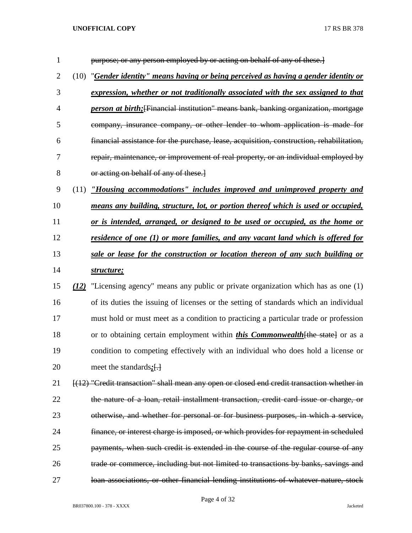| $\mathbf{1}$   |      | purpose; or any person employed by or acting on behalf of any of these.]                    |
|----------------|------|---------------------------------------------------------------------------------------------|
| $\overline{2}$ | (10) | "Gender identity" means having or being perceived as having a gender identity or            |
| 3              |      | expression, whether or not traditionally associated with the sex assigned to that           |
| 4              |      | <i>person at birth</i> ; [Financial institution" means bank, banking organization, mortgage |
| 5              |      | company, insurance company, or other lender to whom application is made for                 |
| 6              |      | financial assistance for the purchase, lease, acquisition, construction, rehabilitation,    |
| 7              |      | repair, maintenance, or improvement of real property, or an individual employed by          |
| 8              |      | or acting on behalf of any of these.                                                        |
| 9              | (11) | "Housing accommodations" includes improved and unimproved property and                      |
| 10             |      | means any building, structure, lot, or portion thereof which is used or occupied,           |
| 11             |      | or is intended, arranged, or designed to be used or occupied, as the home or                |
| 12             |      | <u>residence of one (1) or more families, and any vacant land which is offered for</u>      |
| 13             |      | sale or lease for the construction or location thereon of any such building or              |
| 14             |      | structure;                                                                                  |
| 15             | (12) | "Licensing agency" means any public or private organization which has as one (1)            |
| 16             |      | of its duties the issuing of licenses or the setting of standards which an individual       |
| 17             |      | must hold or must meet as a condition to practicing a particular trade or profession        |
| 18             |      | or to obtaining certain employment within <i>this Commonwealth</i> [the state] or as a      |
| 19             |      | condition to competing effectively with an individual who does hold a license or            |
| 20             |      | meet the standards $:$ [.]                                                                  |
| 21             |      | [(12) "Credit transaction" shall mean any open or closed end credit transaction whether in  |
| 22             |      | the nature of a loan, retail installment transaction, credit card issue or charge, or       |
| 23             |      | otherwise, and whether for personal or for business purposes, in which a service,           |
| 24             |      | finance, or interest charge is imposed, or which provides for repayment in scheduled        |
| 25             |      | payments, when such credit is extended in the course of the regular course of any           |
| 26             |      | trade or commerce, including but not limited to transactions by banks, savings and          |
| 27             |      | loan associations, or other financial lending institutions of whatever nature, stock        |

Page 4 of 32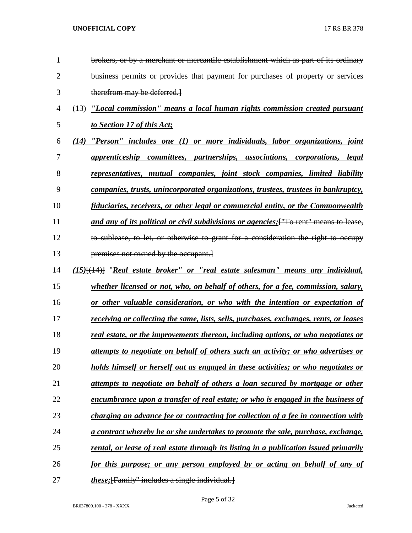| 1              | brokers, or by a merchant or mercantile establishment which as part of its ordinary           |
|----------------|-----------------------------------------------------------------------------------------------|
| $\overline{2}$ | business permits or provides that payment for purchases of property or services               |
| 3              | therefrom may be deferred.                                                                    |
| $\overline{4}$ | "Local commission" means a local human rights commission created pursuant<br>(13)             |
| 5              | to Section 17 of this Act;                                                                    |
| 6              | "Person" includes one (1) or more individuals, labor organizations, joint<br>(14)             |
| 7              | apprenticeship committees, partnerships, associations, corporations, legal                    |
| 8              | representatives, mutual companies, joint stock companies, limited liability                   |
| 9              | companies, trusts, unincorporated organizations, trustees, trustees in bankruptcy,            |
| 10             | fiduciaries, receivers, or other legal or commercial entity, or the Commonwealth              |
| 11             | and any of its political or civil subdivisions or agencies; ["To rent" means to lease,        |
| 12             | to sublease, to let, or otherwise to grant for a consideration the right to occupy            |
| 13             | premises not owned by the occupant.                                                           |
| 14             | $(15)$ [ $(14)$ ] "Real estate broker" or "real estate salesman" means any individual,        |
| 15             | whether licensed or not, who, on behalf of others, for a fee, commission, salary,             |
| 16             | or other valuable consideration, or who with the intention or expectation of                  |
| 17             | <u>receiving or collecting the same, lists, sells, purchases, exchanges, rents, or leases</u> |
| 18             | real estate, or the improvements thereon, including options, or who negotiates or             |
| 19             | <u>attempts to negotiate on behalf of others such an activity; or who advertises or</u>       |
| 20             | <u>holds himself or herself out as engaged in these activities; or who negotiates or</u>      |
| 21             | attempts to negotiate on behalf of others a loan secured by mortgage or other                 |
| 22             | <u>encumbrance upon a transfer of real estate; or who is engaged in the business of</u>       |
| 23             | charging an advance fee or contracting for collection of a fee in connection with             |
| 24             | <u>a contract whereby he or she undertakes to promote the sale, purchase, exchange,</u>       |
| 25             | rental, or lease of real estate through its listing in a publication issued primarily         |
| 26             | for this purpose; or any person employed by or acting on behalf of any of                     |
| 27             | <i>these</i> ; [Family" includes a single individual.]                                        |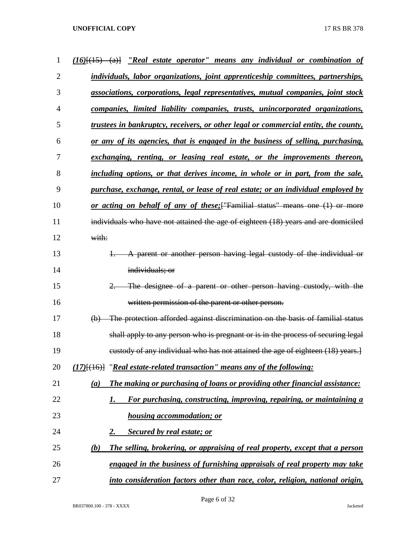| 1              | $(16)$ $(15)$ $(15)$ $(2)$ $(16)$ $(15)$ $(20)$ $(20)$ $(20)$ $(20)$ $(20)$ $(20)$ $(20)$ $(20)$ $(20)$ $(20)$ $(20)$ $(20)$ $(20)$ $(20)$ $(20)$ $(20)$ $(20)$ $(20)$ $(20)$ $(20)$ $(20)$ $(20)$ $(20)$ $(20)$ $(20)$ $(20)$ |
|----------------|--------------------------------------------------------------------------------------------------------------------------------------------------------------------------------------------------------------------------------|
| $\overline{2}$ | individuals, labor organizations, joint apprenticeship committees, partnerships,                                                                                                                                               |
| 3              | associations, corporations, legal representatives, mutual companies, joint stock                                                                                                                                               |
| 4              | companies, limited liability companies, trusts, unincorporated organizations,                                                                                                                                                  |
| 5              | trustees in bankruptcy, receivers, or other legal or commercial entity, the county,                                                                                                                                            |
| 6              | or any of its agencies, that is engaged in the business of selling, purchasing,                                                                                                                                                |
| 7              | exchanging, renting, or leasing real estate, or the improvements thereon,                                                                                                                                                      |
| 8              | including options, or that derives income, in whole or in part, from the sale,                                                                                                                                                 |
| 9              | purchase, exchange, rental, or lease of real estate; or an individual employed by                                                                                                                                              |
| 10             | or acting on behalf of any of these; ["Familial status" means one (1) or more                                                                                                                                                  |
| 11             | individuals who have not attained the age of eighteen (18) years and are domiciled                                                                                                                                             |
| 12             | with:                                                                                                                                                                                                                          |
| 13             | A parent or another person having legal custody of the individual or                                                                                                                                                           |
| 14             | individuals; or                                                                                                                                                                                                                |
| 15             | The designee of a parent or other person having custody, with the                                                                                                                                                              |
| 16             | written permission of the parent or other person.                                                                                                                                                                              |
| 17             | The protection afforded against discrimination on the basis of familial status<br>$\bigoplus$                                                                                                                                  |
| 18             | shall apply to any person who is pregnant or is in the process of securing legal                                                                                                                                               |
| 19             | eustody of any individual who has not attained the age of eighteen (18) years.]                                                                                                                                                |
| 20             | $(17)$ [ $(16)$ ] "Real estate-related transaction" means any of the following:                                                                                                                                                |
| 21             | The making or purchasing of loans or providing other financial assistance:<br>(a)                                                                                                                                              |
| 22             | For purchasing, constructing, improving, repairing, or maintaining a<br>I.                                                                                                                                                     |
| 23             | <b>housing accommodation; or</b>                                                                                                                                                                                               |
| 24             | Secured by real estate; or<br>2.                                                                                                                                                                                               |
| 25             | The selling, brokering, or appraising of real property, except that a person<br>(b)                                                                                                                                            |
| 26             | engaged in the business of furnishing appraisals of real property may take                                                                                                                                                     |
| 27             | into consideration factors other than race, color, religion, national origin,                                                                                                                                                  |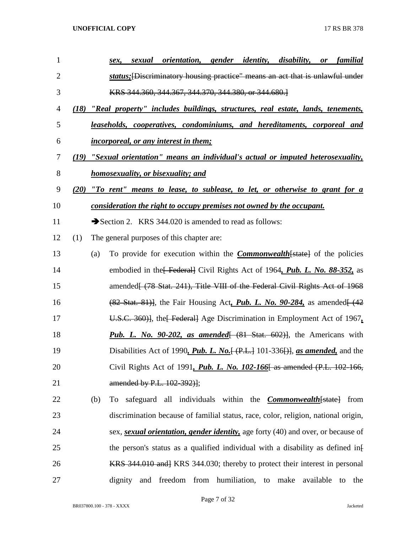| $\mathbf{1}$   |      |     | <i>orientation</i> , <i>gender</i><br><i>identity,</i><br><i>disability,</i><br>familial<br>sexual<br><b>or</b><br>sex, |
|----------------|------|-----|-------------------------------------------------------------------------------------------------------------------------|
| $\overline{2}$ |      |     | <i>status</i> ; [Discriminatory housing practice" means an act that is unlawful under                                   |
| 3              |      |     | KRS 344.360, 344.367, 344.370, 344.380, or 344.680.                                                                     |
| 4              | (18) |     | "Real property" includes buildings, structures, real estate, lands, tenements,                                          |
| 5              |      |     | <u>leaseholds, cooperatives, condominiums, and hereditaments, corporeal and</u>                                         |
| 6              |      |     | <i>incorporeal, or any interest in them;</i>                                                                            |
| 7              | (19) |     | "Sexual orientation" means an individual's actual or imputed heterosexuality,                                           |
| 8              |      |     | <u>homosexuality, or bisexuality; and</u>                                                                               |
| 9              | (20) |     | "To rent" means to lease, to sublease, to let, or otherwise to grant for a                                              |
| 10             |      |     | consideration the right to occupy premises not owned by the occupant.                                                   |
| 11             |      |     | Section 2. KRS 344.020 is amended to read as follows:                                                                   |
| 12             | (1)  |     | The general purposes of this chapter are:                                                                               |
| 13             |      | (a) | To provide for execution within the <b>Commonwealth</b> [state] of the policies                                         |
| 14             |      |     | embodied in the Federal Civil Rights Act of 1964, Pub. L. No. 88-352, as                                                |
| 15             |      |     | amended (78 Stat. 241), Title VIII of the Federal Civil Rights Act of 1968                                              |
| 16             |      |     | $(82$ Stat. 81)], the Fair Housing Act, <i>Pub. L. No. 90-284</i> , as amended $(42)$                                   |
| 17             |      |     | U.S.C. 360)], the Federal Age Discrimination in Employment Act of 1967.                                                 |
| 18             |      |     | <b>Pub. L.</b> No. 90-202, as amended $(81 \text{ Stat. } 602)$ , the Americans with                                    |
| 19             |      |     | Disabilities Act of 1990, Pub. L. No. $\{\Theta, H, 101-336\}$ , as amended, and the                                    |
| 20             |      |     | Civil Rights Act of 1991, <i>Pub. L. No. 102-166</i> as amended (P.L. 102-166,                                          |
| 21             |      |     | amended by P.L. 102-392)];                                                                                              |
| 22             |      | (b) | safeguard all individuals within the <b>Commonwealth</b> [state] from<br>To                                             |
| 23             |      |     | discrimination because of familial status, race, color, religion, national origin,                                      |
| 24             |      |     | sex, <i>sexual orientation, gender identity</i> , age forty (40) and over, or because of                                |
| 25             |      |     | the person's status as a qualified individual with a disability as defined inf                                          |
| 26             |      |     | <b>KRS</b> 344.010 and KRS 344.030; thereby to protect their interest in personal                                       |
| 27             |      |     | freedom from humiliation, to<br>available<br>dignity<br>make<br>and<br>the<br>to                                        |

Page 7 of 32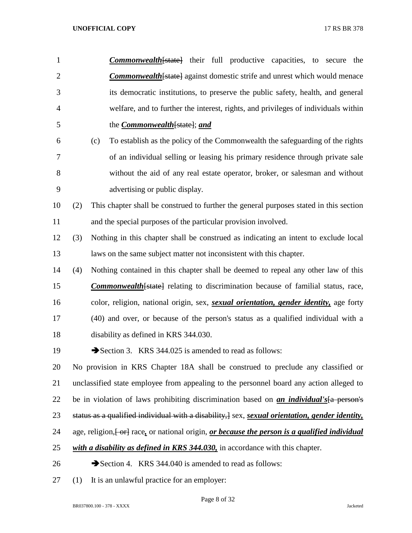| $\mathbf{1}$   |     | <b>Commonwealth</b> state being full productive capacities, to secure the                                                   |
|----------------|-----|-----------------------------------------------------------------------------------------------------------------------------|
| $\overline{2}$ |     | <b>Commonwealth</b> [state] against domestic strife and unrest which would menace                                           |
| 3              |     | its democratic institutions, to preserve the public safety, health, and general                                             |
| $\overline{4}$ |     | welfare, and to further the interest, rights, and privileges of individuals within                                          |
| 5              |     | the <i>Commonwealth</i> [state]; and                                                                                        |
| 6              |     | To establish as the policy of the Commonwealth the safeguarding of the rights<br>(c)                                        |
| $\tau$         |     | of an individual selling or leasing his primary residence through private sale                                              |
| $8\,$          |     | without the aid of any real estate operator, broker, or salesman and without                                                |
| 9              |     | advertising or public display.                                                                                              |
| 10             | (2) | This chapter shall be construed to further the general purposes stated in this section                                      |
| 11             |     | and the special purposes of the particular provision involved.                                                              |
| 12             | (3) | Nothing in this chapter shall be construed as indicating an intent to exclude local                                         |
| 13             |     | laws on the same subject matter not inconsistent with this chapter.                                                         |
| 14             | (4) | Nothing contained in this chapter shall be deemed to repeal any other law of this                                           |
| 15             |     | <b>Commonwealth</b> [state] relating to discrimination because of familial status, race,                                    |
| 16             |     | color, religion, national origin, sex, <i>sexual orientation</i> , <i>gender identity</i> , age forty                       |
| 17             |     | (40) and over, or because of the person's status as a qualified individual with a                                           |
| 18             |     | disability as defined in KRS 344.030.                                                                                       |
| 19             |     | Section 3. KRS 344.025 is amended to read as follows:                                                                       |
| 20             |     | No provision in KRS Chapter 18A shall be construed to preclude any classified or                                            |
| 21             |     | unclassified state employee from appealing to the personnel board any action alleged to                                     |
| 22             |     | be in violation of laws prohibiting discrimination based on <i>an individual's</i> [a person's                              |
| 23             |     | status as a qualified individual with a disability, $\frac{1}{2}$ sex, <i>sexual orientation</i> , <i>gender identity</i> , |
| 24             |     | age, religion, [-or] race, or national origin, or because the person is a qualified individual                              |
| 25             |     | with a disability as defined in KRS 344.030, in accordance with this chapter.                                               |
| 26             |     | Section 4. KRS 344.040 is amended to read as follows:                                                                       |
| 27             | (1) | It is an unlawful practice for an employer:                                                                                 |

Page 8 of 32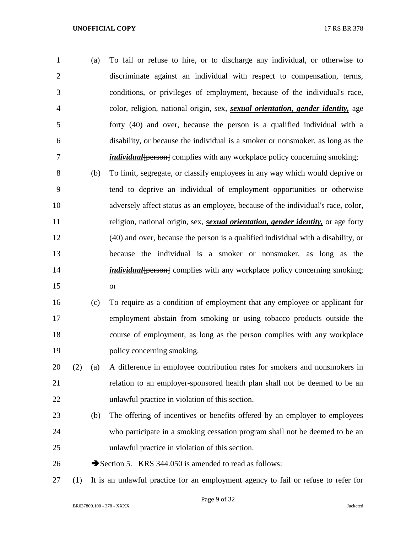(a) To fail or refuse to hire, or to discharge any individual, or otherwise to discriminate against an individual with respect to compensation, terms, conditions, or privileges of employment, because of the individual's race, color, religion, national origin, sex, *sexual orientation, gender identity,* age forty (40) and over, because the person is a qualified individual with a disability, or because the individual is a smoker or nonsmoker, as long as the *individual* [person] complies with any workplace policy concerning smoking;

 (b) To limit, segregate, or classify employees in any way which would deprive or tend to deprive an individual of employment opportunities or otherwise adversely affect status as an employee, because of the individual's race, color, religion, national origin, sex, *sexual orientation, gender identity,* or age forty (40) and over, because the person is a qualified individual with a disability, or because the individual is a smoker or nonsmoker, as long as the *individual* [person] complies with any workplace policy concerning smoking; or

 (c) To require as a condition of employment that any employee or applicant for employment abstain from smoking or using tobacco products outside the course of employment, as long as the person complies with any workplace policy concerning smoking.

 (2) (a) A difference in employee contribution rates for smokers and nonsmokers in relation to an employer-sponsored health plan shall not be deemed to be an unlawful practice in violation of this section.

- (b) The offering of incentives or benefits offered by an employer to employees who participate in a smoking cessation program shall not be deemed to be an unlawful practice in violation of this section.
- 26 Section 5. KRS 344.050 is amended to read as follows:
- (1) It is an unlawful practice for an employment agency to fail or refuse to refer for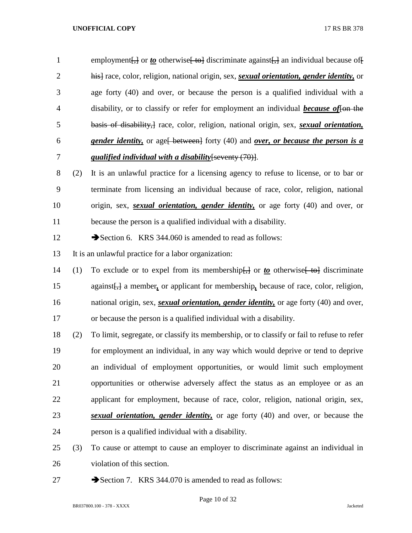1 employment $\left\{\frac{1}{2}\right\}$  or *to* otherwise  $\left\{\frac{1}{2} \right\}$  discriminate against $\left\{\frac{1}{2}\right\}$  an individual because of  $\left\{\frac{1}{2} \right\}$  his] race, color, religion, national origin, sex, *sexual orientation, gender identity,* or age forty (40) and over, or because the person is a qualified individual with a 4 disability, or to classify or refer for employment an individual *because of* for the basis of disability,] race, color, religion, national origin, sex, *sexual orientation, gender identity,* or age[ between] forty (40) and *over, or because the person is a qualified individual with a disability*[seventy (70)].

 (2) It is an unlawful practice for a licensing agency to refuse to license, or to bar or terminate from licensing an individual because of race, color, religion, national origin, sex, *sexual orientation, gender identity,* or age forty (40) and over, or because the person is a qualified individual with a disability.

12 Section 6. KRS 344.060 is amended to read as follows:

It is an unlawful practice for a labor organization:

- 14 (1) To exclude or to expel from its membership<del>[,]</del> or *to* otherwise [ to discriminate 15 against<sub>1</sub>, a member, or applicant for membership, because of race, color, religion, national origin, sex, *sexual orientation, gender identity,* or age forty (40) and over, or because the person is a qualified individual with a disability.
- (2) To limit, segregate, or classify its membership, or to classify or fail to refuse to refer for employment an individual, in any way which would deprive or tend to deprive an individual of employment opportunities, or would limit such employment opportunities or otherwise adversely affect the status as an employee or as an applicant for employment, because of race, color, religion, national origin, sex, *sexual orientation, gender identity,* or age forty (40) and over, or because the person is a qualified individual with a disability.
- (3) To cause or attempt to cause an employer to discriminate against an individual in violation of this section.
- 27 Section 7. KRS 344.070 is amended to read as follows: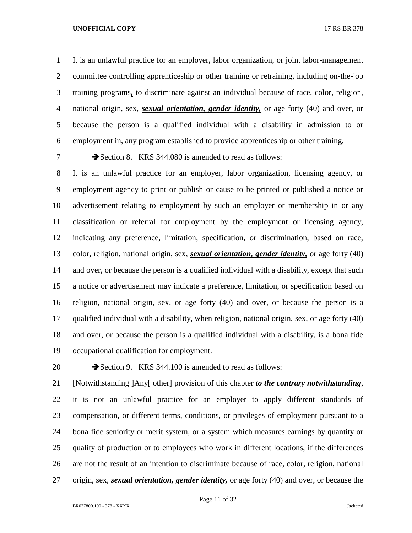It is an unlawful practice for an employer, labor organization, or joint labor-management committee controlling apprenticeship or other training or retraining, including on-the-job training programs*,* to discriminate against an individual because of race, color, religion, national origin, sex, *sexual orientation, gender identity,* or age forty (40) and over, or because the person is a qualified individual with a disability in admission to or employment in, any program established to provide apprenticeship or other training.

7 Section 8. KRS 344.080 is amended to read as follows:

 It is an unlawful practice for an employer, labor organization, licensing agency, or employment agency to print or publish or cause to be printed or published a notice or advertisement relating to employment by such an employer or membership in or any classification or referral for employment by the employment or licensing agency, indicating any preference, limitation, specification, or discrimination, based on race, color, religion, national origin, sex, *sexual orientation, gender identity,* or age forty (40) and over, or because the person is a qualified individual with a disability, except that such a notice or advertisement may indicate a preference, limitation, or specification based on religion, national origin, sex, or age forty (40) and over, or because the person is a qualified individual with a disability, when religion, national origin, sex, or age forty (40) and over, or because the person is a qualified individual with a disability, is a bona fide occupational qualification for employment.

20 Section 9. KRS 344.100 is amended to read as follows:

 [Notwithstanding ]Any[ other] provision of this chapter *to the contrary notwithstanding*, it is not an unlawful practice for an employer to apply different standards of compensation, or different terms, conditions, or privileges of employment pursuant to a bona fide seniority or merit system, or a system which measures earnings by quantity or quality of production or to employees who work in different locations, if the differences are not the result of an intention to discriminate because of race, color, religion, national origin, sex, *sexual orientation, gender identity,* or age forty (40) and over, or because the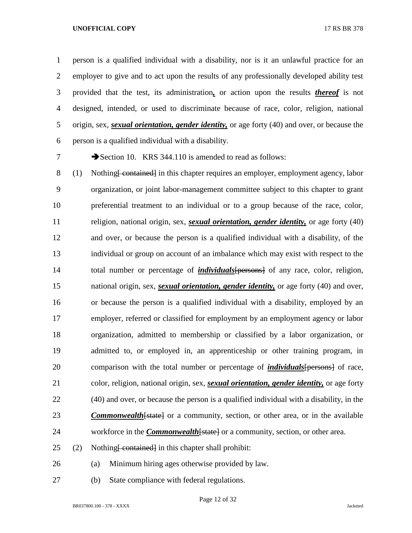person is a qualified individual with a disability, nor is it an unlawful practice for an employer to give and to act upon the results of any professionally developed ability test provided that the test, its administration*,* or action upon the results *thereof* is not designed, intended, or used to discriminate because of race, color, religion, national origin, sex, *sexual orientation, gender identity,* or age forty (40) and over, or because the person is a qualified individual with a disability.

7 Section 10. KRS 344.110 is amended to read as follows:

8 (1) Nothing <del>[ contained]</del> in this chapter requires an employer, employment agency, labor organization, or joint labor-management committee subject to this chapter to grant preferential treatment to an individual or to a group because of the race, color, religion, national origin, sex, *sexual orientation, gender identity,* or age forty (40) and over, or because the person is a qualified individual with a disability, of the individual or group on account of an imbalance which may exist with respect to the 14 total number or percentage of *individuals* [persons] of any race, color, religion, national origin, sex, *sexual orientation, gender identity,* or age forty (40) and over, or because the person is a qualified individual with a disability, employed by an employer, referred or classified for employment by an employment agency or labor organization, admitted to membership or classified by a labor organization, or admitted to, or employed in, an apprenticeship or other training program, in comparison with the total number or percentage of *individuals*[persons] of race, color, religion, national origin, sex, *sexual orientation, gender identity,* or age forty (40) and over, or because the person is a qualified individual with a disability, in the **Commonwealth** [state] or a community, section, or other area, or in the available 24 workforce in the *Commonwealth* [state] or a community, section, or other area.

- (2) Nothing <del>[ contained]</del> in this chapter shall prohibit:
- (a) Minimum hiring ages otherwise provided by law.
- (b) State compliance with federal regulations.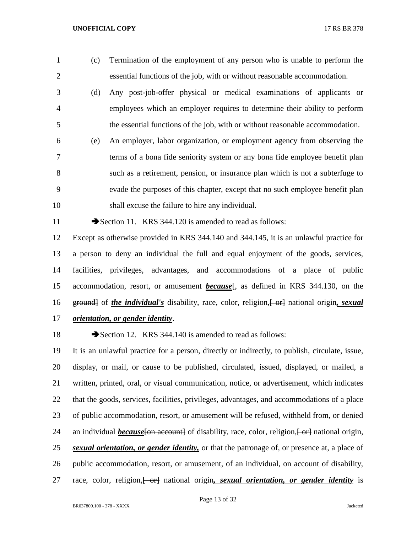- (c) Termination of the employment of any person who is unable to perform the essential functions of the job, with or without reasonable accommodation.
- (d) Any post-job-offer physical or medical examinations of applicants or employees which an employer requires to determine their ability to perform the essential functions of the job, with or without reasonable accommodation.
- (e) An employer, labor organization, or employment agency from observing the terms of a bona fide seniority system or any bona fide employee benefit plan such as a retirement, pension, or insurance plan which is not a subterfuge to evade the purposes of this chapter, except that no such employee benefit plan shall excuse the failure to hire any individual.

11 Section 11. KRS 344.120 is amended to read as follows:

 Except as otherwise provided in KRS 344.140 and 344.145, it is an unlawful practice for a person to deny an individual the full and equal enjoyment of the goods, services, facilities, privileges, advantages, and accommodations of a place of public accommodation, resort, or amusement *because*[, as defined in KRS 344.130, on the 16 ground of *the individual's* disability, race, color, religion,  $\leftarrow$  er mational origin, *sexual orientation, or gender identity*.

18 Section 12. KRS 344.140 is amended to read as follows:

 It is an unlawful practice for a person, directly or indirectly, to publish, circulate, issue, display, or mail, or cause to be published, circulated, issued, displayed, or mailed, a written, printed, oral, or visual communication, notice, or advertisement, which indicates that the goods, services, facilities, privileges, advantages, and accommodations of a place of public accommodation, resort, or amusement will be refused, withheld from, or denied 24 an individual *because* for account of disability, race, color, religion, for antional origin, *sexual orientation, or gender identity,* or that the patronage of, or presence at, a place of public accommodation, resort, or amusement, of an individual, on account of disability, 27 race, color, religion, <del>[ or]</del> national origin, sexual orientation, or gender identity is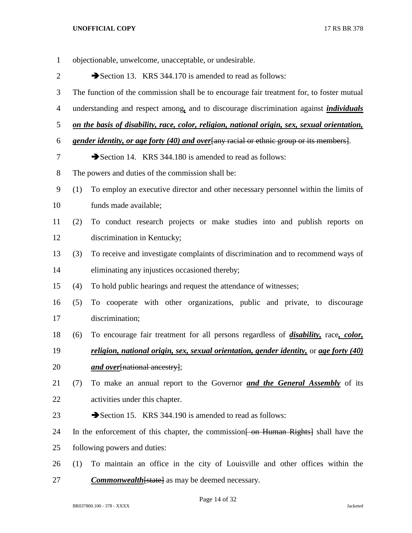| $\mathbf{1}$   | objectionable, unwelcome, unacceptable, or undesirable.                                   |                                                                                                    |  |
|----------------|-------------------------------------------------------------------------------------------|----------------------------------------------------------------------------------------------------|--|
| $\overline{2}$ | Section 13. KRS 344.170 is amended to read as follows:                                    |                                                                                                    |  |
| 3              | The function of the commission shall be to encourage fair treatment for, to foster mutual |                                                                                                    |  |
| $\overline{4}$ |                                                                                           | understanding and respect among, and to discourage discrimination against <i>individuals</i>       |  |
| 5              |                                                                                           | on the basis of disability, race, color, religion, national origin, sex, sexual orientation,       |  |
| 6              |                                                                                           | gender identity, or age forty (40) and over [any racial or ethnic group or its members].           |  |
| $\overline{7}$ |                                                                                           | Section 14. KRS 344.180 is amended to read as follows:                                             |  |
| $8\,$          |                                                                                           | The powers and duties of the commission shall be:                                                  |  |
| 9              | (1)                                                                                       | To employ an executive director and other necessary personnel within the limits of                 |  |
| 10             |                                                                                           | funds made available;                                                                              |  |
| 11             | (2)                                                                                       | To conduct research projects or make studies into and publish reports on                           |  |
| 12             |                                                                                           | discrimination in Kentucky;                                                                        |  |
| 13             | (3)                                                                                       | To receive and investigate complaints of discrimination and to recommend ways of                   |  |
| 14             |                                                                                           | eliminating any injustices occasioned thereby;                                                     |  |
| 15             | (4)                                                                                       | To hold public hearings and request the attendance of witnesses;                                   |  |
| 16             | (5)                                                                                       | To cooperate with other organizations, public and private, to discourage                           |  |
| 17             |                                                                                           | discrimination;                                                                                    |  |
| 18             | (6)                                                                                       | To encourage fair treatment for all persons regardless of <i>disability</i> , race, <i>color</i> , |  |
| 19             |                                                                                           | religion, national origin, sex, sexual orientation, gender identity, or age forty (40)             |  |
| 20             |                                                                                           | <i>and over</i> [national ancestry];                                                               |  |
| 21             | (7)                                                                                       | To make an annual report to the Governor and the General Assembly of its                           |  |
| 22             |                                                                                           | activities under this chapter.                                                                     |  |
| 23             |                                                                                           | Section 15. KRS 344.190 is amended to read as follows:                                             |  |
| 24             |                                                                                           | In the enforcement of this chapter, the commission <del>[ on Human Rights]</del> shall have the    |  |
| 25             |                                                                                           | following powers and duties:                                                                       |  |
| 26             | (1)                                                                                       | To maintain an office in the city of Louisville and other offices within the                       |  |
| 27             |                                                                                           | <b>Commonwealth</b> [state] as may be deemed necessary.                                            |  |

Page 14 of 32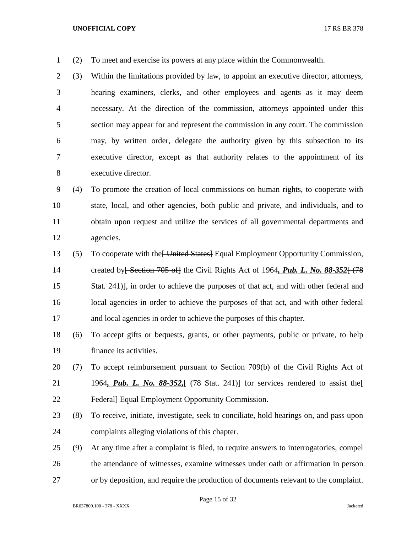(2) To meet and exercise its powers at any place within the Commonwealth.

 (3) Within the limitations provided by law, to appoint an executive director, attorneys, hearing examiners, clerks, and other employees and agents as it may deem necessary. At the direction of the commission, attorneys appointed under this section may appear for and represent the commission in any court. The commission may, by written order, delegate the authority given by this subsection to its executive director, except as that authority relates to the appointment of its executive director.

 (4) To promote the creation of local commissions on human rights, to cooperate with state, local, and other agencies, both public and private, and individuals, and to obtain upon request and utilize the services of all governmental departments and agencies.

 (5) To cooperate with the[ United States] Equal Employment Opportunity Commission, 14 created by<del>[ Section 705 of]</del> the Civil Rights Act of 1964, Pub. L. No. 88-352 + (78 Stat. 241)], in order to achieve the purposes of that act, and with other federal and local agencies in order to achieve the purposes of that act, and with other federal and local agencies in order to achieve the purposes of this chapter.

- (6) To accept gifts or bequests, grants, or other payments, public or private, to help finance its activities.
- (7) To accept reimbursement pursuant to Section 709(b) of the Civil Rights Act of 21 1964, Pub. L. No. 88-352, [(78 Stat. 241)] for services rendered to assist the **Federal** Equal Employment Opportunity Commission.
- (8) To receive, initiate, investigate, seek to conciliate, hold hearings on, and pass upon complaints alleging violations of this chapter.
- (9) At any time after a complaint is filed, to require answers to interrogatories, compel the attendance of witnesses, examine witnesses under oath or affirmation in person or by deposition, and require the production of documents relevant to the complaint.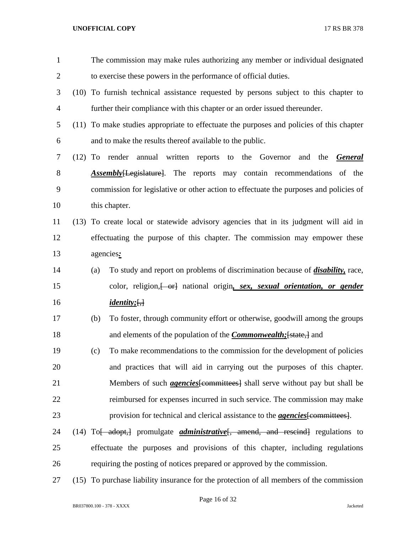| 1              |           | The commission may make rules authorizing any member or individual designated                 |
|----------------|-----------|-----------------------------------------------------------------------------------------------|
| $\overline{2}$ |           | to exercise these powers in the performance of official duties.                               |
| 3              |           | (10) To furnish technical assistance requested by persons subject to this chapter to          |
| 4              |           | further their compliance with this chapter or an order issued thereunder.                     |
| 5              |           | (11) To make studies appropriate to effectuate the purposes and policies of this chapter      |
| 6              |           | and to make the results thereof available to the public.                                      |
| 7              | $(12)$ To | render<br>annual written reports<br>to the Governor<br>and the<br><u>General</u>              |
| 8              |           | <b>Assembly</b> [Legislature]. The reports may contain recommendations of the                 |
| 9              |           | commission for legislative or other action to effectuate the purposes and policies of         |
| 10             |           | this chapter.                                                                                 |
| 11             | (13)      | To create local or statewide advisory agencies that in its judgment will aid in               |
| 12             |           | effectuating the purpose of this chapter. The commission may empower these                    |
| 13             |           | agencies:                                                                                     |
| 14             |           | To study and report on problems of discrimination because of <i>disability</i> , race,<br>(a) |
| 15             |           | color, religion, or antional origin, sex, sexual orientation, or gender                       |
| 16             |           | <u><i>identity</i></u> ; $\left\{ \frac{1}{2} \right\}$                                       |
| 17             |           | To foster, through community effort or otherwise, goodwill among the groups<br>(b)            |
| 18             |           | and elements of the population of the <i>Commonwealth</i> ; [state,] and                      |
| 19             |           | To make recommendations to the commission for the development of policies<br>(c)              |
| 20             |           | and practices that will aid in carrying out the purposes of this chapter.                     |
| 21             |           | Members of such <i>agencies</i> [committees] shall serve without pay but shall be             |
| 22             |           | reimbursed for expenses incurred in such service. The commission may make                     |
| 23             |           | provision for technical and clerical assistance to the <i>agencies</i> [committees].          |
| 24             |           | $(14)$ To adopt, promulgate <i>administrative</i> , amend, and rescind regulations to         |
| 25             |           | effectuate the purposes and provisions of this chapter, including regulations                 |
| 26             |           | requiring the posting of notices prepared or approved by the commission.                      |
| 27             |           | (15) To purchase liability insurance for the protection of all members of the commission      |

Page 16 of 32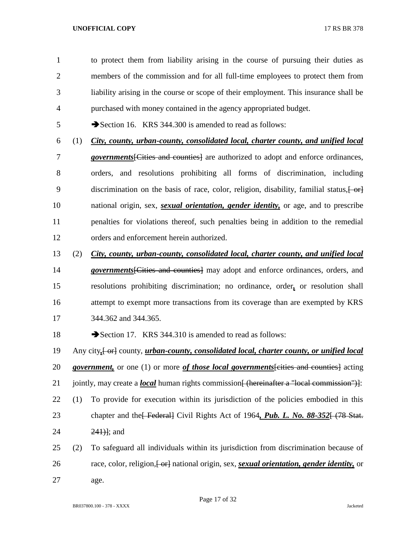to protect them from liability arising in the course of pursuing their duties as members of the commission and for all full-time employees to protect them from liability arising in the course or scope of their employment. This insurance shall be purchased with money contained in the agency appropriated budget.

5 Section 16. KRS 344.300 is amended to read as follows:

 (1) *City, county, urban-county, consolidated local, charter county, and unified local governments*[Cities and counties] are authorized to adopt and enforce ordinances, orders, and resolutions prohibiting all forms of discrimination, including 9 discrimination on the basis of race, color, religion, disability, familial status,  $\left\{\text{-or}\right\}$  national origin, sex, *sexual orientation, gender identity,* or age, and to prescribe penalties for violations thereof, such penalties being in addition to the remedial orders and enforcement herein authorized.

(2) *City, county, urban-county, consolidated local, charter county, and unified local* 

 *governments*[Cities and counties] may adopt and enforce ordinances, orders, and resolutions prohibiting discrimination; no ordinance, order*,* or resolution shall attempt to exempt more transactions from its coverage than are exempted by KRS 344.362 and 344.365.

18 Section 17. KRS 344.310 is amended to read as follows:

19 Any city,  $\left\{\text{or}\right\}$  county, *urban-county, consolidated local, charter county, or unified local government,* or one (1) or more *of those local governments*[cities and counties] acting 21 jointly, may create a *local* human rights commission<del>[ (hereinafter a "local commission")]</del>:

- (1) To provide for execution within its jurisdiction of the policies embodied in this 23 chapter and the<del>[ Federal]</del> Civil Rights Act of 1964, *Pub. L. No. 88-352* [ (78 Stat.) 24 241<sup>1</sup>; and
- (2) To safeguard all individuals within its jurisdiction from discrimination because of 26 race, color, religion,  $\left\{\frac{\partial \mathbf{r}}{\partial t}\right\}$  national origin, sex, *sexual orientation, gender identity*, or age.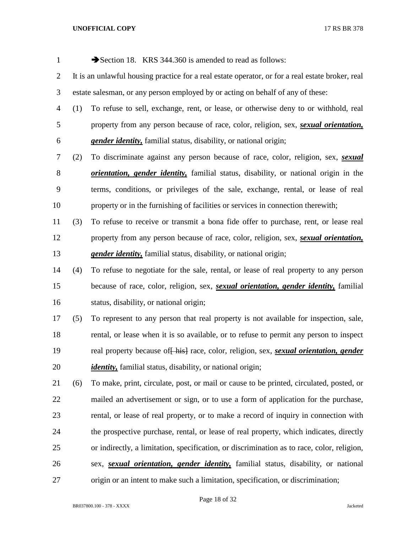| $\mathbf{1}$     |     | Section 18. KRS 344.360 is amended to read as follows:                                               |
|------------------|-----|------------------------------------------------------------------------------------------------------|
| $\overline{2}$   |     | It is an unlawful housing practice for a real estate operator, or for a real estate broker, real     |
| 3                |     | estate salesman, or any person employed by or acting on behalf of any of these:                      |
| $\overline{4}$   | (1) | To refuse to sell, exchange, rent, or lease, or otherwise deny to or withhold, real                  |
| 5                |     | property from any person because of race, color, religion, sex, <i>sexual orientation</i> ,          |
| 6                |     | <i>gender identity</i> , familial status, disability, or national origin;                            |
| 7                | (2) | To discriminate against any person because of race, color, religion, sex, sexual                     |
| $8\,$            |     | <i>orientation, gender identity</i> , familial status, disability, or national origin in the         |
| $\boldsymbol{9}$ |     | terms, conditions, or privileges of the sale, exchange, rental, or lease of real                     |
| 10               |     | property or in the furnishing of facilities or services in connection therewith;                     |
| 11               | (3) | To refuse to receive or transmit a bona fide offer to purchase, rent, or lease real                  |
| 12               |     | property from any person because of race, color, religion, sex, sexual orientation,                  |
| 13               |     | <i>gender identity</i> , familial status, disability, or national origin;                            |
| 14               | (4) | To refuse to negotiate for the sale, rental, or lease of real property to any person                 |
| 15               |     | because of race, color, religion, sex, <i>sexual orientation</i> , <i>gender identity</i> , familial |
| 16               |     | status, disability, or national origin;                                                              |
| 17               | (5) | To represent to any person that real property is not available for inspection, sale,                 |
| 18               |     | rental, or lease when it is so available, or to refuse to permit any person to inspect               |
| 19               |     | real property because of hist race, color, religion, sex, <i>sexual orientation</i> , <i>gender</i>  |
| 20               |     | <i>identity</i> , familial status, disability, or national origin;                                   |
| 21               | (6) | To make, print, circulate, post, or mail or cause to be printed, circulated, posted, or              |
| 22               |     | mailed an advertisement or sign, or to use a form of application for the purchase,                   |
| 23               |     | rental, or lease of real property, or to make a record of inquiry in connection with                 |
| 24               |     | the prospective purchase, rental, or lease of real property, which indicates, directly               |
| 25               |     | or indirectly, a limitation, specification, or discrimination as to race, color, religion,           |
| 26               |     | sex, <i>sexual orientation</i> , <i>gender identity</i> , familial status, disability, or national   |
| 27               |     | origin or an intent to make such a limitation, specification, or discrimination;                     |

Page 18 of 32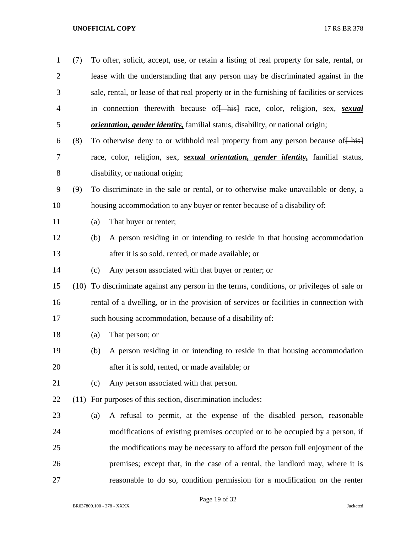| $\mathbf{1}$   | (7)  |     | To offer, solicit, accept, use, or retain a listing of real property for sale, rental, or         |
|----------------|------|-----|---------------------------------------------------------------------------------------------------|
| $\overline{2}$ |      |     | lease with the understanding that any person may be discriminated against in the                  |
| 3              |      |     | sale, rental, or lease of that real property or in the furnishing of facilities or services       |
| $\overline{4}$ |      |     | in connection therewith because of hist race, color, religion, sex, sexual                        |
| 5              |      |     | <i>orientation, gender identity</i> , familial status, disability, or national origin;            |
| 6              | (8)  |     | To otherwise deny to or withhold real property from any person because of his                     |
| 7              |      |     | race, color, religion, sex, <i>sexual orientation</i> , <i>gender identity</i> , familial status, |
| 8              |      |     | disability, or national origin;                                                                   |
| 9              | (9)  |     | To discriminate in the sale or rental, or to otherwise make unavailable or deny, a                |
| 10             |      |     | housing accommodation to any buyer or renter because of a disability of:                          |
| 11             |      | (a) | That buyer or renter;                                                                             |
| 12             |      | (b) | A person residing in or intending to reside in that housing accommodation                         |
| 13             |      |     | after it is so sold, rented, or made available; or                                                |
| 14             |      | (c) | Any person associated with that buyer or renter; or                                               |
| 15             | (10) |     | To discriminate against any person in the terms, conditions, or privileges of sale or             |
| 16             |      |     | rental of a dwelling, or in the provision of services or facilities in connection with            |
| 17             |      |     | such housing accommodation, because of a disability of:                                           |
| 18             |      | (a) | That person; or                                                                                   |
| 19             |      | (b) | A person residing in or intending to reside in that housing accommodation                         |
| 20             |      |     | after it is sold, rented, or made available; or                                                   |
| 21             |      | (c) | Any person associated with that person.                                                           |
| 22             |      |     | (11) For purposes of this section, discrimination includes:                                       |
| 23             |      | (a) | A refusal to permit, at the expense of the disabled person, reasonable                            |
| 24             |      |     | modifications of existing premises occupied or to be occupied by a person, if                     |
| 25             |      |     | the modifications may be necessary to afford the person full enjoyment of the                     |
| 26             |      |     | premises; except that, in the case of a rental, the landlord may, where it is                     |
| 27             |      |     | reasonable to do so, condition permission for a modification on the renter                        |

Page 19 of 32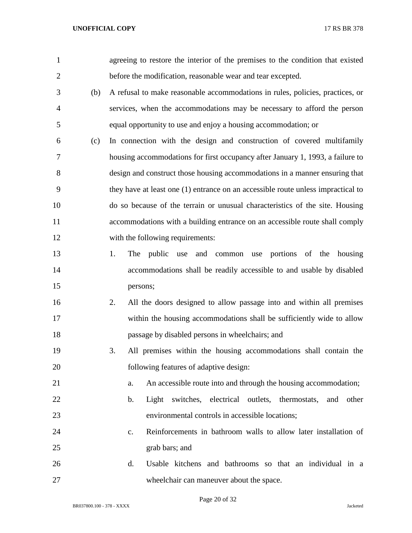| $\mathbf{1}$   |     | agreeing to restore the interior of the premises to the condition that existed   |
|----------------|-----|----------------------------------------------------------------------------------|
| $\overline{2}$ |     | before the modification, reasonable wear and tear excepted.                      |
| 3              | (b) | A refusal to make reasonable accommodations in rules, policies, practices, or    |
| $\overline{4}$ |     | services, when the accommodations may be necessary to afford the person          |
| 5              |     | equal opportunity to use and enjoy a housing accommodation; or                   |
| 6              | (c) | In connection with the design and construction of covered multifamily            |
| 7              |     | housing accommodations for first occupancy after January 1, 1993, a failure to   |
| 8              |     | design and construct those housing accommodations in a manner ensuring that      |
| 9              |     | they have at least one (1) entrance on an accessible route unless impractical to |
| 10             |     | do so because of the terrain or unusual characteristics of the site. Housing     |
| 11             |     | accommodations with a building entrance on an accessible route shall comply      |
| 12             |     | with the following requirements:                                                 |
| 13             |     | public use and common use portions of the housing<br>1.<br>The                   |
| 14             |     | accommodations shall be readily accessible to and usable by disabled             |
| 15             |     | persons;                                                                         |
| 16             |     | All the doors designed to allow passage into and within all premises<br>2.       |
| 17             |     | within the housing accommodations shall be sufficiently wide to allow            |
| 18             |     | passage by disabled persons in wheelchairs; and                                  |
| 19             |     | All premises within the housing accommodations shall contain the<br>3.           |
| 20             |     | following features of adaptive design:                                           |
| 21             |     | An accessible route into and through the housing accommodation;<br>a.            |
| 22             |     | switches, electrical outlets, thermostats,<br>Light<br>b.<br>and other           |
| 23             |     | environmental controls in accessible locations;                                  |
| 24             |     | Reinforcements in bathroom walls to allow later installation of<br>$C_{\bullet}$ |
| 25             |     | grab bars; and                                                                   |
| 26             |     | Usable kitchens and bathrooms so that an individual in a<br>d.                   |
| 27             |     | wheelchair can maneuver about the space.                                         |

Page 20 of 32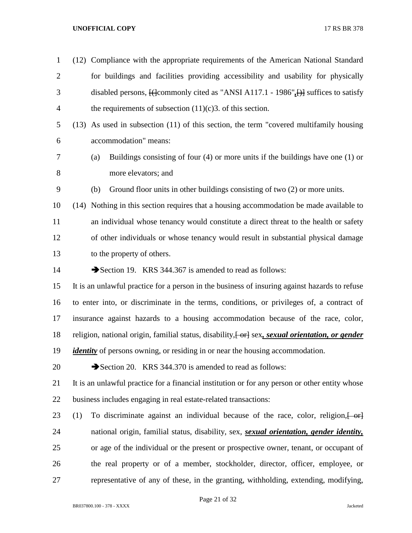| $\mathbf{1}$   | (12) Compliance with the appropriate requirements of the American National Standard                                |
|----------------|--------------------------------------------------------------------------------------------------------------------|
| $\overline{2}$ | for buildings and facilities providing accessibility and usability for physically                                  |
| 3              | disabled persons, $\left\{\right\}$ (commonly cited as "ANSI A117.1 - 1986", $\left\{\right\}$ suffices to satisfy |
| 4              | the requirements of subsection $(11)(c)3$ . of this section.                                                       |
| 5              | $(13)$ As used in subsection $(11)$ of this section, the term "covered multifamily housing                         |
| 6              | accommodation" means:                                                                                              |
| 7              | Buildings consisting of four $(4)$ or more units if the buildings have one $(1)$ or<br>(a)                         |
| 8              | more elevators; and                                                                                                |
| 9              | Ground floor units in other buildings consisting of two (2) or more units.<br>(b)                                  |
| 10             | Nothing in this section requires that a housing accommodation be made available to<br>(14)                         |
| 11             | an individual whose tenancy would constitute a direct threat to the health or safety                               |
| 12             | of other individuals or whose tenancy would result in substantial physical damage                                  |
| 13             | to the property of others.                                                                                         |
| 14             | Section 19. KRS 344.367 is amended to read as follows:                                                             |
| 15             | It is an unlawful practice for a person in the business of insuring against hazards to refuse                      |
| 16             | to enter into, or discriminate in the terms, conditions, or privileges of, a contract of                           |
| 17             | insurance against hazards to a housing accommodation because of the race, color,                                   |
| 18             | religion, national origin, familial status, disability, [or] sex, sexual orientation, or gender                    |
| 19             | <i>identity</i> of persons owning, or residing in or near the housing accommodation.                               |
| 20             | Section 20. KRS 344.370 is amended to read as follows:                                                             |
| 21             | It is an unlawful practice for a financial institution or for any person or other entity whose                     |
| 22             | business includes engaging in real estate-related transactions:                                                    |
| 23             | To discriminate against an individual because of the race, color, religion, or<br>(1)                              |
| 24             | national origin, familial status, disability, sex, sexual orientation, gender identity,                            |
| 25             | or age of the individual or the present or prospective owner, tenant, or occupant of                               |
| 26             | the real property or of a member, stockholder, director, officer, employee, or                                     |
| 27             | representative of any of these, in the granting, withholding, extending, modifying,                                |

Page 21 of 32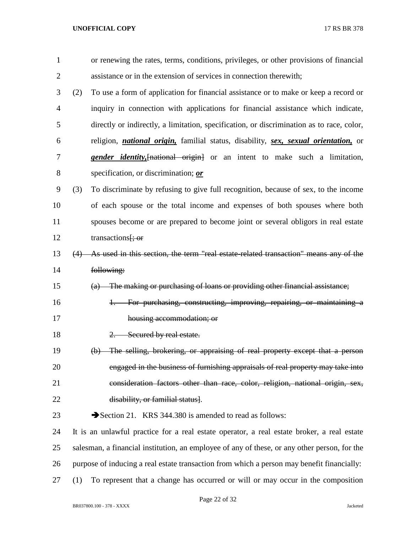| $\mathbf{1}$   |     | or renewing the rates, terms, conditions, privileges, or other provisions of financial                      |
|----------------|-----|-------------------------------------------------------------------------------------------------------------|
| $\overline{2}$ |     | assistance or in the extension of services in connection therewith;                                         |
| 3              | (2) | To use a form of application for financial assistance or to make or keep a record or                        |
| 4              |     | inquiry in connection with applications for financial assistance which indicate,                            |
| 5              |     | directly or indirectly, a limitation, specification, or discrimination as to race, color,                   |
| 6              |     | religion, <i>national origin</i> , familial status, disability, <i>sex</i> , <i>sexual orientation</i> , or |
| 7              |     | <i>gender identity</i> , [national origin] or an intent to make such a limitation,                          |
| 8              |     | specification, or discrimination; or                                                                        |
| 9              | (3) | To discriminate by refusing to give full recognition, because of sex, to the income                         |
| 10             |     | of each spouse or the total income and expenses of both spouses where both                                  |
| 11             |     | spouses become or are prepared to become joint or several obligors in real estate                           |
| 12             |     | transactions <del>[; or</del>                                                                               |
| 13             | (4) | As used in this section, the term "real estate related transaction" means any of the                        |
| 14             |     | following:                                                                                                  |
| 15             |     | (a) The making or purchasing of loans or providing other financial assistance;                              |
| 16             |     | For purchasing, constructing, improving, repairing, or maintaining a<br>$+\frac{1}{2}$                      |
| 17             |     | housing accommodation; or                                                                                   |
| 18             |     | Secured by real estate.<br>$\overline{2}$ .                                                                 |
| 19             |     | The selling, brokering, or appraising of real property except that a person<br>$\Theta$                     |
| 20             |     | engaged in the business of furnishing appraisals of real property may take into                             |
| 21             |     | consideration factors other than race, color, religion, national origin, sex,                               |
| 22             |     | disability, or familial status].                                                                            |
| 23             |     | Section 21. KRS 344.380 is amended to read as follows:                                                      |
| 24             |     | It is an unlawful practice for a real estate operator, a real estate broker, a real estate                  |
| 25             |     | salesman, a financial institution, an employee of any of these, or any other person, for the                |
| 26             |     | purpose of inducing a real estate transaction from which a person may benefit financially:                  |
| 27             | (1) | To represent that a change has occurred or will or may occur in the composition                             |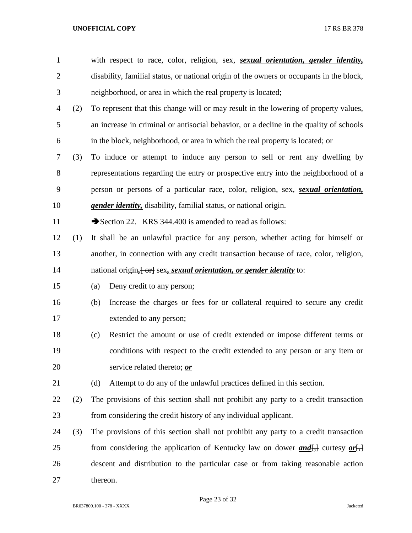| $\mathbf{1}$   |     | with respect to race, color, religion, sex, sexual orientation, gender identity,          |  |  |
|----------------|-----|-------------------------------------------------------------------------------------------|--|--|
| $\overline{c}$ |     | disability, familial status, or national origin of the owners or occupants in the block,  |  |  |
| 3              |     | neighborhood, or area in which the real property is located;                              |  |  |
| 4              | (2) | To represent that this change will or may result in the lowering of property values,      |  |  |
| 5              |     | an increase in criminal or antisocial behavior, or a decline in the quality of schools    |  |  |
| 6              |     | in the block, neighborhood, or area in which the real property is located; or             |  |  |
| 7              | (3) | To induce or attempt to induce any person to sell or rent any dwelling by                 |  |  |
| $8\,$          |     | representations regarding the entry or prospective entry into the neighborhood of a       |  |  |
| 9              |     | person or persons of a particular race, color, religion, sex, <i>sexual orientation</i> , |  |  |
| 10             |     | gender identity, disability, familial status, or national origin.                         |  |  |
| 11             |     | Section 22. KRS 344.400 is amended to read as follows:                                    |  |  |
| 12             | (1) | It shall be an unlawful practice for any person, whether acting for himself or            |  |  |
| 13             |     | another, in connection with any credit transaction because of race, color, religion,      |  |  |
| 14             |     | national origin <sub>i</sub> [-or] sex, sexual orientation, or gender identity to:        |  |  |
| 15             |     | Deny credit to any person;<br>(a)                                                         |  |  |
| 16             |     | Increase the charges or fees for or collateral required to secure any credit<br>(b)       |  |  |
| 17             |     | extended to any person;                                                                   |  |  |
| 18             |     | Restrict the amount or use of credit extended or impose different terms or<br>(c)         |  |  |
| 19             |     | conditions with respect to the credit extended to any person or any item or               |  |  |
| 20             |     | service related thereto; or                                                               |  |  |
| 21             |     | Attempt to do any of the unlawful practices defined in this section.<br>(d)               |  |  |
| 22             | (2) | The provisions of this section shall not prohibit any party to a credit transaction       |  |  |
| 23             |     | from considering the credit history of any individual applicant.                          |  |  |
| 24             | (3) | The provisions of this section shall not prohibit any party to a credit transaction       |  |  |
| 25             |     | from considering the application of Kentucky law on dower $and$ , curtesy or,             |  |  |
| 26             |     | descent and distribution to the particular case or from taking reasonable action          |  |  |
| 27             |     | thereon.                                                                                  |  |  |
|                |     |                                                                                           |  |  |

Page 23 of 32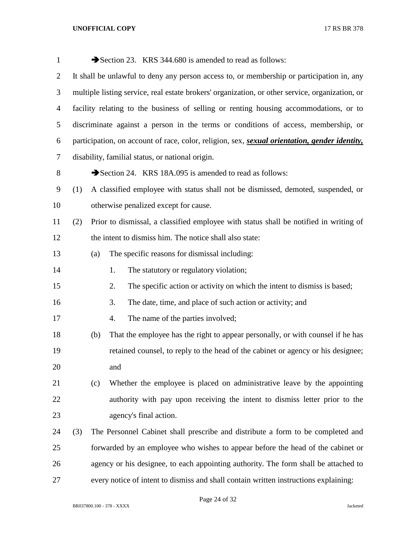| $\mathbf{1}$   |     |                                                                                           | Section 23. KRS 344.680 is amended to read as follows:                                                        |  |
|----------------|-----|-------------------------------------------------------------------------------------------|---------------------------------------------------------------------------------------------------------------|--|
| 2              |     | It shall be unlawful to deny any person access to, or membership or participation in, any |                                                                                                               |  |
| 3              |     |                                                                                           | multiple listing service, real estate brokers' organization, or other service, organization, or               |  |
| $\overline{4}$ |     |                                                                                           | facility relating to the business of selling or renting housing accommodations, or to                         |  |
| 5              |     |                                                                                           | discriminate against a person in the terms or conditions of access, membership, or                            |  |
| 6              |     |                                                                                           | participation, on account of race, color, religion, sex, <i>sexual orientation</i> , <i>gender identity</i> , |  |
| 7              |     |                                                                                           | disability, familial status, or national origin.                                                              |  |
| 8              |     |                                                                                           | Section 24. KRS 18A.095 is amended to read as follows:                                                        |  |
| 9              | (1) |                                                                                           | A classified employee with status shall not be dismissed, demoted, suspended, or                              |  |
| 10             |     |                                                                                           | otherwise penalized except for cause.                                                                         |  |
| 11             | (2) |                                                                                           | Prior to dismissal, a classified employee with status shall be notified in writing of                         |  |
| 12             |     |                                                                                           | the intent to dismiss him. The notice shall also state:                                                       |  |
| 13             |     | (a)                                                                                       | The specific reasons for dismissal including:                                                                 |  |
| 14             |     |                                                                                           | The statutory or regulatory violation;<br>1.                                                                  |  |
| 15             |     |                                                                                           | The specific action or activity on which the intent to dismiss is based;<br>2.                                |  |
| 16             |     |                                                                                           | The date, time, and place of such action or activity; and<br>3.                                               |  |
| 17             |     |                                                                                           | The name of the parties involved;<br>4.                                                                       |  |
| 18             |     | (b)                                                                                       | That the employee has the right to appear personally, or with counsel if he has                               |  |
| 19             |     |                                                                                           | retained counsel, to reply to the head of the cabinet or agency or his designee;                              |  |
| 20             |     |                                                                                           | and                                                                                                           |  |
| 21             |     | (c)                                                                                       | Whether the employee is placed on administrative leave by the appointing                                      |  |
| 22             |     |                                                                                           | authority with pay upon receiving the intent to dismiss letter prior to the                                   |  |
| 23             |     |                                                                                           | agency's final action.                                                                                        |  |
| 24             | (3) |                                                                                           | The Personnel Cabinet shall prescribe and distribute a form to be completed and                               |  |
| 25             |     |                                                                                           | forwarded by an employee who wishes to appear before the head of the cabinet or                               |  |
| 26             |     |                                                                                           | agency or his designee, to each appointing authority. The form shall be attached to                           |  |
| 27             |     |                                                                                           | every notice of intent to dismiss and shall contain written instructions explaining:                          |  |

Page 24 of 32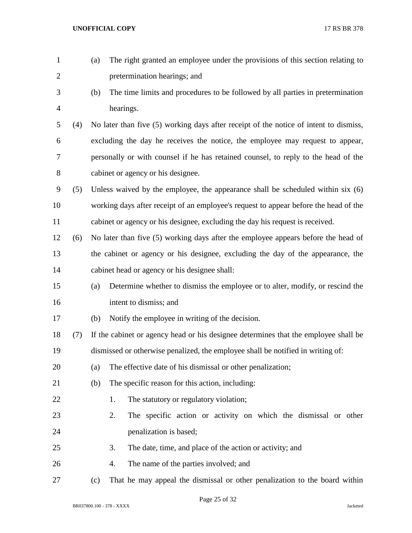| $\mathbf{1}$   |     | (a) | The right granted an employee under the provisions of this section relating to        |
|----------------|-----|-----|---------------------------------------------------------------------------------------|
| $\overline{2}$ |     |     | pretermination hearings; and                                                          |
| 3              |     | (b) | The time limits and procedures to be followed by all parties in pretermination        |
| 4              |     |     | hearings.                                                                             |
| 5              | (4) |     | No later than five (5) working days after receipt of the notice of intent to dismiss, |
| 6              |     |     | excluding the day he receives the notice, the employee may request to appear,         |
| 7              |     |     | personally or with counsel if he has retained counsel, to reply to the head of the    |
| 8              |     |     | cabinet or agency or his designee.                                                    |
| 9              | (5) |     | Unless waived by the employee, the appearance shall be scheduled within six (6)       |
| 10             |     |     | working days after receipt of an employee's request to appear before the head of the  |
| 11             |     |     | cabinet or agency or his designee, excluding the day his request is received.         |
| 12             | (6) |     | No later than five (5) working days after the employee appears before the head of     |
| 13             |     |     | the cabinet or agency or his designee, excluding the day of the appearance, the       |
| 14             |     |     | cabinet head or agency or his designee shall:                                         |
| 15             |     | (a) | Determine whether to dismiss the employee or to alter, modify, or rescind the         |
| 16             |     |     | intent to dismiss; and                                                                |
| 17             |     | (b) | Notify the employee in writing of the decision.                                       |
| 18             | (7) |     | If the cabinet or agency head or his designee determines that the employee shall be   |
| 19             |     |     | dismissed or otherwise penalized, the employee shall be notified in writing of:       |
| 20             |     | (a) | The effective date of his dismissal or other penalization;                            |
| 21             |     | (b) | The specific reason for this action, including:                                       |
| 22             |     |     | The statutory or regulatory violation;<br>1.                                          |
| 23             |     |     | 2.<br>The specific action or activity on which the dismissal or other                 |
| 24             |     |     | penalization is based;                                                                |
| 25             |     |     | 3.<br>The date, time, and place of the action or activity; and                        |
| 26             |     |     | The name of the parties involved; and<br>4.                                           |
| 27             |     | (c) | That he may appeal the dismissal or other penalization to the board within            |

Page 25 of 32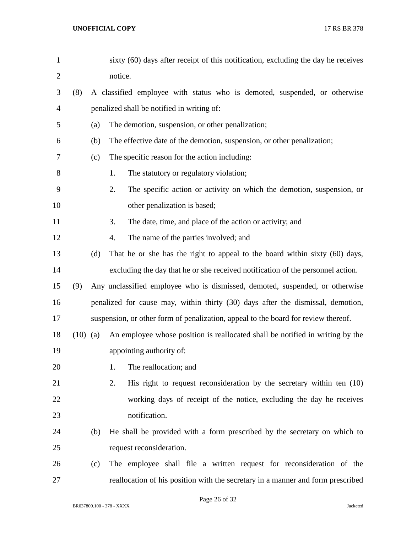| $\mathbf{1}$   |            |     | sixty (60) days after receipt of this notification, excluding the day he receives  |
|----------------|------------|-----|------------------------------------------------------------------------------------|
| $\overline{c}$ |            |     | notice.                                                                            |
| 3              | (8)        |     | A classified employee with status who is demoted, suspended, or otherwise          |
| 4              |            |     | penalized shall be notified in writing of:                                         |
| 5              |            | (a) | The demotion, suspension, or other penalization;                                   |
| 6              |            | (b) | The effective date of the demotion, suspension, or other penalization;             |
| 7              |            | (c) | The specific reason for the action including:                                      |
| 8              |            |     | The statutory or regulatory violation;<br>1.                                       |
| 9              |            |     | 2.<br>The specific action or activity on which the demotion, suspension, or        |
| 10             |            |     | other penalization is based;                                                       |
| 11             |            |     | The date, time, and place of the action or activity; and<br>3.                     |
| 12             |            |     | The name of the parties involved; and<br>4.                                        |
| 13             |            | (d) | That he or she has the right to appeal to the board within sixty (60) days,        |
| 14             |            |     | excluding the day that he or she received notification of the personnel action.    |
| 15             | (9)        |     | Any unclassified employee who is dismissed, demoted, suspended, or otherwise       |
| 16             |            |     | penalized for cause may, within thirty (30) days after the dismissal, demotion,    |
| 17             |            |     | suspension, or other form of penalization, appeal to the board for review thereof. |
| 18             | $(10)$ (a) |     | An employee whose position is reallocated shall be notified in writing by the      |
| 19             |            |     | appointing authority of:                                                           |
| 20             |            |     | The reallocation; and<br>1.                                                        |
| 21             |            |     | His right to request reconsideration by the secretary within ten $(10)$<br>2.      |
| 22             |            |     | working days of receipt of the notice, excluding the day he receives               |
| 23             |            |     | notification.                                                                      |
| 24             |            | (b) | He shall be provided with a form prescribed by the secretary on which to           |
| 25             |            |     | request reconsideration.                                                           |
| 26             |            | (c) | The employee shall file a written request for reconsideration of the               |
| 27             |            |     | reallocation of his position with the secretary in a manner and form prescribed    |

Page 26 of 32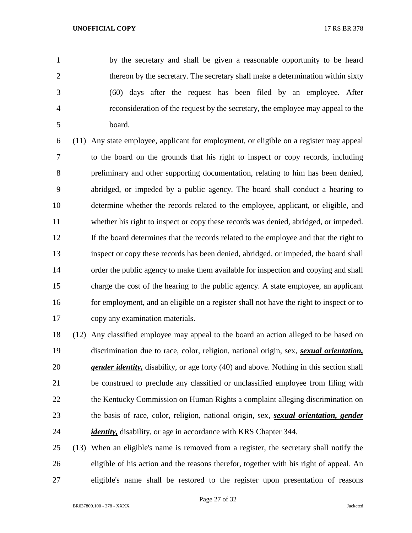by the secretary and shall be given a reasonable opportunity to be heard thereon by the secretary. The secretary shall make a determination within sixty (60) days after the request has been filed by an employee. After reconsideration of the request by the secretary, the employee may appeal to the board.

 (11) Any state employee, applicant for employment, or eligible on a register may appeal to the board on the grounds that his right to inspect or copy records, including preliminary and other supporting documentation, relating to him has been denied, abridged, or impeded by a public agency. The board shall conduct a hearing to determine whether the records related to the employee, applicant, or eligible, and whether his right to inspect or copy these records was denied, abridged, or impeded. If the board determines that the records related to the employee and that the right to inspect or copy these records has been denied, abridged, or impeded, the board shall order the public agency to make them available for inspection and copying and shall charge the cost of the hearing to the public agency. A state employee, an applicant for employment, and an eligible on a register shall not have the right to inspect or to copy any examination materials.

 (12) Any classified employee may appeal to the board an action alleged to be based on discrimination due to race, color, religion, national origin, sex, *sexual orientation, gender identity,* disability, or age forty (40) and above. Nothing in this section shall be construed to preclude any classified or unclassified employee from filing with 22 the Kentucky Commission on Human Rights a complaint alleging discrimination on the basis of race, color, religion, national origin, sex, *sexual orientation, gender identity*, disability, or age in accordance with KRS Chapter 344.

 (13) When an eligible's name is removed from a register, the secretary shall notify the eligible of his action and the reasons therefor, together with his right of appeal. An eligible's name shall be restored to the register upon presentation of reasons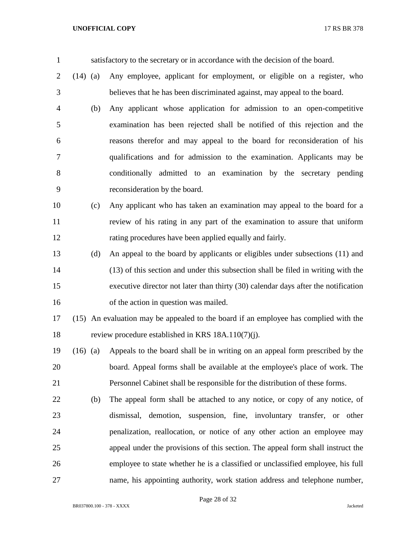satisfactory to the secretary or in accordance with the decision of the board.

- (14) (a) Any employee, applicant for employment, or eligible on a register, who believes that he has been discriminated against, may appeal to the board.
- (b) Any applicant whose application for admission to an open-competitive examination has been rejected shall be notified of this rejection and the reasons therefor and may appeal to the board for reconsideration of his qualifications and for admission to the examination. Applicants may be conditionally admitted to an examination by the secretary pending reconsideration by the board.
- (c) Any applicant who has taken an examination may appeal to the board for a review of his rating in any part of the examination to assure that uniform rating procedures have been applied equally and fairly.
- (d) An appeal to the board by applicants or eligibles under subsections (11) and (13) of this section and under this subsection shall be filed in writing with the executive director not later than thirty (30) calendar days after the notification 16 of the action in question was mailed.
- (15) An evaluation may be appealed to the board if an employee has complied with the review procedure established in KRS 18A.110(7)(j).
- (16) (a) Appeals to the board shall be in writing on an appeal form prescribed by the board. Appeal forms shall be available at the employee's place of work. The Personnel Cabinet shall be responsible for the distribution of these forms.
- (b) The appeal form shall be attached to any notice, or copy of any notice, of dismissal, demotion, suspension, fine, involuntary transfer, or other penalization, reallocation, or notice of any other action an employee may appeal under the provisions of this section. The appeal form shall instruct the employee to state whether he is a classified or unclassified employee, his full name, his appointing authority, work station address and telephone number,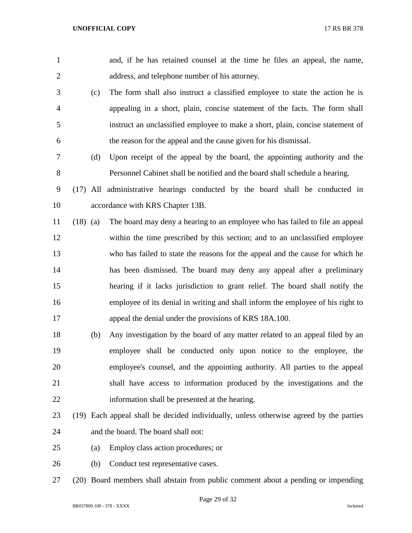| $\mathbf{1}$   |            |     | and, if he has retained counsel at the time he files an appeal, the name,              |
|----------------|------------|-----|----------------------------------------------------------------------------------------|
| $\overline{2}$ |            |     | address, and telephone number of his attorney.                                         |
| 3              |            | (c) | The form shall also instruct a classified employee to state the action he is           |
| 4              |            |     | appealing in a short, plain, concise statement of the facts. The form shall            |
| 5              |            |     | instruct an unclassified employee to make a short, plain, concise statement of         |
| 6              |            |     | the reason for the appeal and the cause given for his dismissal.                       |
| 7              |            | (d) | Upon receipt of the appeal by the board, the appointing authority and the              |
| $8\,$          |            |     | Personnel Cabinet shall be notified and the board shall schedule a hearing.            |
| 9              |            |     | (17) All administrative hearings conducted by the board shall be conducted in          |
| 10             |            |     | accordance with KRS Chapter 13B.                                                       |
| 11             | $(18)$ (a) |     | The board may deny a hearing to an employee who has failed to file an appeal           |
| 12             |            |     | within the time prescribed by this section; and to an unclassified employee            |
| 13             |            |     | who has failed to state the reasons for the appeal and the cause for which he          |
| 14             |            |     | has been dismissed. The board may deny any appeal after a preliminary                  |
| 15             |            |     | hearing if it lacks jurisdiction to grant relief. The board shall notify the           |
| 16             |            |     | employee of its denial in writing and shall inform the employee of his right to        |
| 17             |            |     | appeal the denial under the provisions of KRS 18A.100.                                 |
| 18             |            | (b) | Any investigation by the board of any matter related to an appeal filed by an          |
| 19             |            |     | employee shall be conducted only upon notice to the employee, the                      |
| 20             |            |     | employee's counsel, and the appointing authority. All parties to the appeal            |
| 21             |            |     | shall have access to information produced by the investigations and the                |
| 22             |            |     | information shall be presented at the hearing.                                         |
| 23             |            |     | (19) Each appeal shall be decided individually, unless otherwise agreed by the parties |
| 24             |            |     | and the board. The board shall not:                                                    |
| 25             |            | (a) | Employ class action procedures; or                                                     |
| 26             |            | (b) | Conduct test representative cases.                                                     |
| 27             |            |     | (20) Board members shall abstain from public comment about a pending or impending      |

Page 29 of 32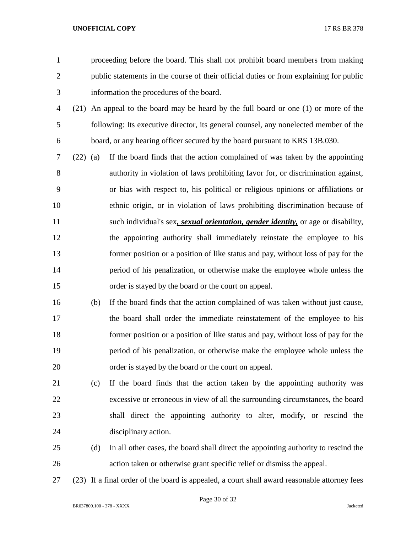proceeding before the board. This shall not prohibit board members from making public statements in the course of their official duties or from explaining for public information the procedures of the board.

- (21) An appeal to the board may be heard by the full board or one (1) or more of the following: Its executive director, its general counsel, any nonelected member of the board, or any hearing officer secured by the board pursuant to KRS 13B.030.
- (22) (a) If the board finds that the action complained of was taken by the appointing authority in violation of laws prohibiting favor for, or discrimination against, or bias with respect to, his political or religious opinions or affiliations or ethnic origin, or in violation of laws prohibiting discrimination because of such individual's sex*, sexual orientation, gender identity,* or age or disability, the appointing authority shall immediately reinstate the employee to his former position or a position of like status and pay, without loss of pay for the period of his penalization, or otherwise make the employee whole unless the order is stayed by the board or the court on appeal.
- (b) If the board finds that the action complained of was taken without just cause, the board shall order the immediate reinstatement of the employee to his former position or a position of like status and pay, without loss of pay for the period of his penalization, or otherwise make the employee whole unless the order is stayed by the board or the court on appeal.
- (c) If the board finds that the action taken by the appointing authority was excessive or erroneous in view of all the surrounding circumstances, the board shall direct the appointing authority to alter, modify, or rescind the disciplinary action.
- (d) In all other cases, the board shall direct the appointing authority to rescind the action taken or otherwise grant specific relief or dismiss the appeal.
- (23) If a final order of the board is appealed, a court shall award reasonable attorney fees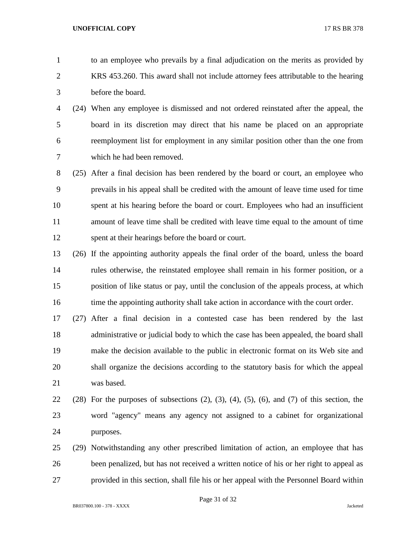to an employee who prevails by a final adjudication on the merits as provided by KRS 453.260. This award shall not include attorney fees attributable to the hearing before the board.

- (24) When any employee is dismissed and not ordered reinstated after the appeal, the board in its discretion may direct that his name be placed on an appropriate reemployment list for employment in any similar position other than the one from which he had been removed.
- (25) After a final decision has been rendered by the board or court, an employee who prevails in his appeal shall be credited with the amount of leave time used for time spent at his hearing before the board or court. Employees who had an insufficient amount of leave time shall be credited with leave time equal to the amount of time spent at their hearings before the board or court.
- (26) If the appointing authority appeals the final order of the board, unless the board rules otherwise, the reinstated employee shall remain in his former position, or a position of like status or pay, until the conclusion of the appeals process, at which 16 time the appointing authority shall take action in accordance with the court order.
- (27) After a final decision in a contested case has been rendered by the last administrative or judicial body to which the case has been appealed, the board shall make the decision available to the public in electronic format on its Web site and shall organize the decisions according to the statutory basis for which the appeal was based.
- 22 (28) For the purposes of subsections  $(2)$ ,  $(3)$ ,  $(4)$ ,  $(5)$ ,  $(6)$ , and  $(7)$  of this section, the word "agency" means any agency not assigned to a cabinet for organizational purposes.
- (29) Notwithstanding any other prescribed limitation of action, an employee that has been penalized, but has not received a written notice of his or her right to appeal as provided in this section, shall file his or her appeal with the Personnel Board within